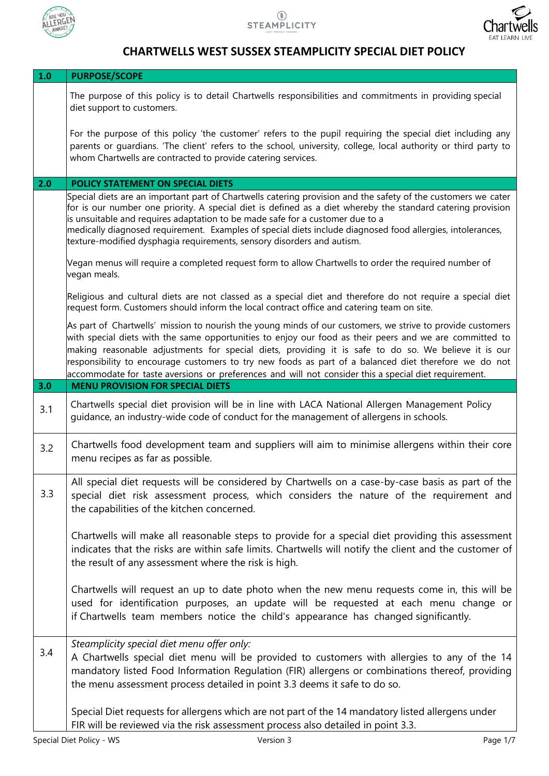





## **CHARTWELLS WEST SUSSEX STEAMPLICITY SPECIAL DIET POLICY**

| $1.0$ | <b>PURPOSE/SCOPE</b>                                                                                                                                                                                                                                                                                                                                                                                                                                                                                                                            |
|-------|-------------------------------------------------------------------------------------------------------------------------------------------------------------------------------------------------------------------------------------------------------------------------------------------------------------------------------------------------------------------------------------------------------------------------------------------------------------------------------------------------------------------------------------------------|
|       | The purpose of this policy is to detail Chartwells responsibilities and commitments in providing special<br>diet support to customers.                                                                                                                                                                                                                                                                                                                                                                                                          |
|       | For the purpose of this policy 'the customer' refers to the pupil requiring the special diet including any<br>parents or guardians. 'The client' refers to the school, university, college, local authority or third party to<br>whom Chartwells are contracted to provide catering services.                                                                                                                                                                                                                                                   |
| 2.0   | POLICY STATEMENT ON SPECIAL DIETS                                                                                                                                                                                                                                                                                                                                                                                                                                                                                                               |
|       | Special diets are an important part of Chartwells catering provision and the safety of the customers we cater<br>for is our number one priority. A special diet is defined as a diet whereby the standard catering provision<br>is unsuitable and requires adaptation to be made safe for a customer due to a<br>medically diagnosed requirement. Examples of special diets include diagnosed food allergies, intolerances,<br>texture-modified dysphagia requirements, sensory disorders and autism.                                           |
|       | Vegan menus will require a completed request form to allow Chartwells to order the required number of<br>vegan meals.                                                                                                                                                                                                                                                                                                                                                                                                                           |
|       | Religious and cultural diets are not classed as a special diet and therefore do not require a special diet<br>request form. Customers should inform the local contract office and catering team on site.                                                                                                                                                                                                                                                                                                                                        |
|       | As part of Chartwells' mission to nourish the young minds of our customers, we strive to provide customers<br>with special diets with the same opportunities to enjoy our food as their peers and we are committed to<br>making reasonable adjustments for special diets, providing it is safe to do so. We believe it is our<br>responsibility to encourage customers to try new foods as part of a balanced diet therefore we do not<br>accommodate for taste aversions or preferences and will not consider this a special diet requirement. |
| 3.0   | <b>MENU PROVISION FOR SPECIAL DIETS</b>                                                                                                                                                                                                                                                                                                                                                                                                                                                                                                         |
| 3.1   | Chartwells special diet provision will be in line with LACA National Allergen Management Policy<br>guidance, an industry-wide code of conduct for the management of allergens in schools.                                                                                                                                                                                                                                                                                                                                                       |
| 3.2   | Chartwells food development team and suppliers will aim to minimise allergens within their core<br>menu recipes as far as possible.                                                                                                                                                                                                                                                                                                                                                                                                             |
| 3.3   | All special diet requests will be considered by Chartwells on a case-by-case basis as part of the<br>special diet risk assessment process, which considers the nature of the requirement and<br>the capabilities of the kitchen concerned.                                                                                                                                                                                                                                                                                                      |
|       | Chartwells will make all reasonable steps to provide for a special diet providing this assessment<br>indicates that the risks are within safe limits. Chartwells will notify the client and the customer of<br>the result of any assessment where the risk is high.                                                                                                                                                                                                                                                                             |
|       | Chartwells will request an up to date photo when the new menu requests come in, this will be<br>used for identification purposes, an update will be requested at each menu change or<br>if Chartwells team members notice the child's appearance has changed significantly.                                                                                                                                                                                                                                                                     |
| 3.4   | Steamplicity special diet menu offer only:<br>A Chartwells special diet menu will be provided to customers with allergies to any of the 14<br>mandatory listed Food Information Regulation (FIR) allergens or combinations thereof, providing<br>the menu assessment process detailed in point 3.3 deems it safe to do so.                                                                                                                                                                                                                      |
|       | Special Diet requests for allergens which are not part of the 14 mandatory listed allergens under<br>FIR will be reviewed via the risk assessment process also detailed in point 3.3.                                                                                                                                                                                                                                                                                                                                                           |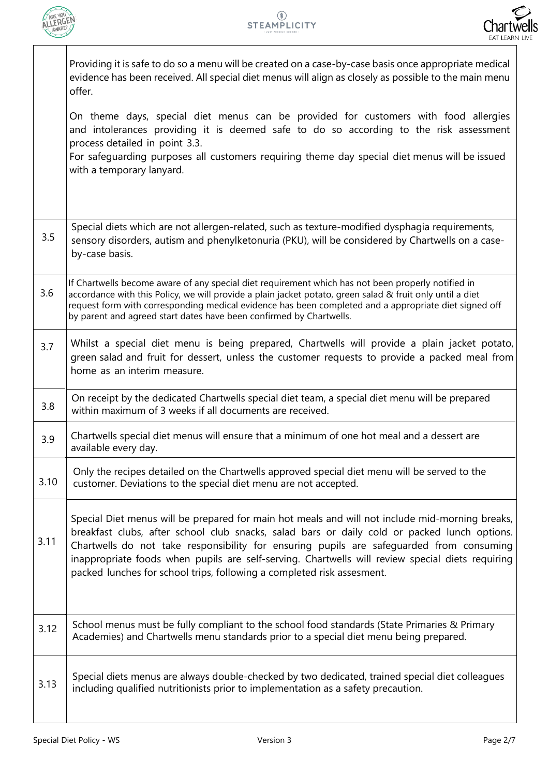



|      | Providing it is safe to do so a menu will be created on a case-by-case basis once appropriate medical<br>evidence has been received. All special diet menus will align as closely as possible to the main menu<br>offer.                                                                                                                                                                                                                                                  |
|------|---------------------------------------------------------------------------------------------------------------------------------------------------------------------------------------------------------------------------------------------------------------------------------------------------------------------------------------------------------------------------------------------------------------------------------------------------------------------------|
|      | On theme days, special diet menus can be provided for customers with food allergies<br>and intolerances providing it is deemed safe to do so according to the risk assessment<br>process detailed in point 3.3.<br>For safeguarding purposes all customers requiring theme day special diet menus will be issued<br>with a temporary lanyard.                                                                                                                             |
| 3.5  | Special diets which are not allergen-related, such as texture-modified dysphagia requirements,<br>sensory disorders, autism and phenylketonuria (PKU), will be considered by Chartwells on a case-<br>by-case basis.                                                                                                                                                                                                                                                      |
| 3.6  | If Chartwells become aware of any special diet requirement which has not been properly notified in<br>accordance with this Policy, we will provide a plain jacket potato, green salad & fruit only until a diet<br>request form with corresponding medical evidence has been completed and a appropriate diet signed off<br>by parent and agreed start dates have been confirmed by Chartwells.                                                                           |
| 3.7  | Whilst a special diet menu is being prepared, Chartwells will provide a plain jacket potato,<br>green salad and fruit for dessert, unless the customer requests to provide a packed meal from<br>home as an interim measure.                                                                                                                                                                                                                                              |
| 3.8  | On receipt by the dedicated Chartwells special diet team, a special diet menu will be prepared<br>within maximum of 3 weeks if all documents are received.                                                                                                                                                                                                                                                                                                                |
| 3.9  | Chartwells special diet menus will ensure that a minimum of one hot meal and a dessert are<br>available every day.                                                                                                                                                                                                                                                                                                                                                        |
| 3.10 | Only the recipes detailed on the Chartwells approved special diet menu will be served to the<br>customer. Deviations to the special diet menu are not accepted.                                                                                                                                                                                                                                                                                                           |
| 3.11 | Special Diet menus will be prepared for main hot meals and will not include mid-morning breaks,<br>breakfast clubs, after school club snacks, salad bars or daily cold or packed lunch options.<br>Chartwells do not take responsibility for ensuring pupils are safeguarded from consuming<br>inappropriate foods when pupils are self-serving. Chartwells will review special diets requiring<br>packed lunches for school trips, following a completed risk assesment. |
| 3.12 | School menus must be fully compliant to the school food standards (State Primaries & Primary<br>Academies) and Chartwells menu standards prior to a special diet menu being prepared.                                                                                                                                                                                                                                                                                     |
| 3.13 | Special diets menus are always double-checked by two dedicated, trained special diet colleagues<br>including qualified nutritionists prior to implementation as a safety precaution.                                                                                                                                                                                                                                                                                      |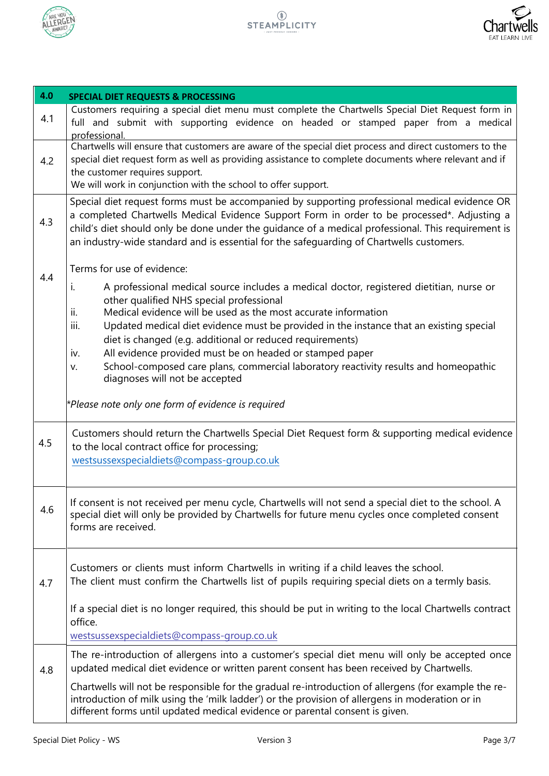



| 4.0 | <b>SPECIAL DIET REQUESTS &amp; PROCESSING</b>                                                                                                                                                                                                                                                                                                                                                                                                                                                                                                                                                                                                                             |
|-----|---------------------------------------------------------------------------------------------------------------------------------------------------------------------------------------------------------------------------------------------------------------------------------------------------------------------------------------------------------------------------------------------------------------------------------------------------------------------------------------------------------------------------------------------------------------------------------------------------------------------------------------------------------------------------|
| 4.1 | Customers requiring a special diet menu must complete the Chartwells Special Diet Request form in<br>full and submit with supporting evidence on headed or stamped paper from a medical<br>professional.                                                                                                                                                                                                                                                                                                                                                                                                                                                                  |
| 4.2 | Chartwells will ensure that customers are aware of the special diet process and direct customers to the<br>special diet request form as well as providing assistance to complete documents where relevant and if<br>the customer requires support.<br>We will work in conjunction with the school to offer support.                                                                                                                                                                                                                                                                                                                                                       |
| 4.3 | Special diet request forms must be accompanied by supporting professional medical evidence OR<br>a completed Chartwells Medical Evidence Support Form in order to be processed*. Adjusting a<br>child's diet should only be done under the quidance of a medical professional. This requirement is<br>an industry-wide standard and is essential for the safequarding of Chartwells customers.                                                                                                                                                                                                                                                                            |
| 4.4 | Terms for use of evidence:<br>A professional medical source includes a medical doctor, registered dietitian, nurse or<br>i.<br>other qualified NHS special professional<br>Medical evidence will be used as the most accurate information<br>ii.<br>iii.<br>Updated medical diet evidence must be provided in the instance that an existing special<br>diet is changed (e.g. additional or reduced requirements)<br>All evidence provided must be on headed or stamped paper<br>iv.<br>School-composed care plans, commercial laboratory reactivity results and homeopathic<br>v.<br>diagnoses will not be accepted<br>*Please note only one form of evidence is required |
| 4.5 | Customers should return the Chartwells Special Diet Request form & supporting medical evidence<br>to the local contract office for processing;<br>westsussexspecialdiets@compass-group.co.uk                                                                                                                                                                                                                                                                                                                                                                                                                                                                              |
| 4.6 | If consent is not received per menu cycle, Chartwells will not send a special diet to the school. A<br>special diet will only be provided by Chartwells for future menu cycles once completed consent<br>forms are received.                                                                                                                                                                                                                                                                                                                                                                                                                                              |
| 4.7 | Customers or clients must inform Chartwells in writing if a child leaves the school.<br>The client must confirm the Chartwells list of pupils requiring special diets on a termly basis.<br>If a special diet is no longer required, this should be put in writing to the local Chartwells contract<br>office.<br>westsussexspecialdiets@compass-group.co.uk                                                                                                                                                                                                                                                                                                              |
| 4.8 | The re-introduction of allergens into a customer's special diet menu will only be accepted once<br>updated medical diet evidence or written parent consent has been received by Chartwells.                                                                                                                                                                                                                                                                                                                                                                                                                                                                               |
|     | Chartwells will not be responsible for the gradual re-introduction of allergens (for example the re-<br>introduction of milk using the 'milk ladder') or the provision of allergens in moderation or in<br>different forms until updated medical evidence or parental consent is given.                                                                                                                                                                                                                                                                                                                                                                                   |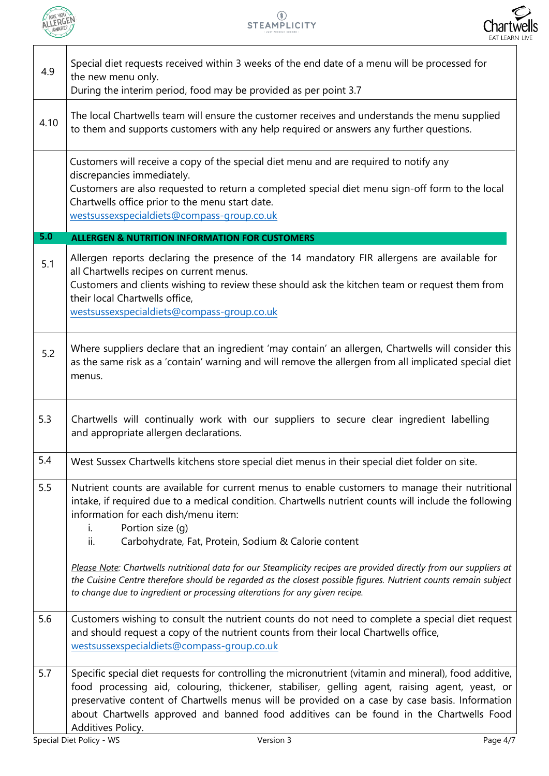

I



| 4.9  | Special diet requests received within 3 weeks of the end date of a menu will be processed for<br>the new menu only.<br>During the interim period, food may be provided as per point 3.7                                                                                                                                                                                                                                                                                                                                                                                                                                                                             |
|------|---------------------------------------------------------------------------------------------------------------------------------------------------------------------------------------------------------------------------------------------------------------------------------------------------------------------------------------------------------------------------------------------------------------------------------------------------------------------------------------------------------------------------------------------------------------------------------------------------------------------------------------------------------------------|
| 4.10 | The local Chartwells team will ensure the customer receives and understands the menu supplied<br>to them and supports customers with any help required or answers any further questions.                                                                                                                                                                                                                                                                                                                                                                                                                                                                            |
|      | Customers will receive a copy of the special diet menu and are required to notify any<br>discrepancies immediately.<br>Customers are also requested to return a completed special diet menu sign-off form to the local<br>Chartwells office prior to the menu start date.<br>westsussexspecialdiets@compass-group.co.uk                                                                                                                                                                                                                                                                                                                                             |
| 5.0  | <b>ALLERGEN &amp; NUTRITION INFORMATION FOR CUSTOMERS</b>                                                                                                                                                                                                                                                                                                                                                                                                                                                                                                                                                                                                           |
| 5.1  | Allergen reports declaring the presence of the 14 mandatory FIR allergens are available for<br>all Chartwells recipes on current menus.<br>Customers and clients wishing to review these should ask the kitchen team or request them from<br>their local Chartwells office,<br>westsussexspecialdiets@compass-group.co.uk                                                                                                                                                                                                                                                                                                                                           |
| 5.2  | Where suppliers declare that an ingredient 'may contain' an allergen, Chartwells will consider this<br>as the same risk as a 'contain' warning and will remove the allergen from all implicated special diet<br>menus.                                                                                                                                                                                                                                                                                                                                                                                                                                              |
| 5.3  | Chartwells will continually work with our suppliers to secure clear ingredient labelling<br>and appropriate allergen declarations.                                                                                                                                                                                                                                                                                                                                                                                                                                                                                                                                  |
| 5.4  | West Sussex Chartwells kitchens store special diet menus in their special diet folder on site.                                                                                                                                                                                                                                                                                                                                                                                                                                                                                                                                                                      |
| 5.5  | Nutrient counts are available for current menus to enable customers to manage their nutritional<br>intake, if required due to a medical condition. Chartwells nutrient counts will include the following<br>information for each dish/menu item:<br>Portion size (q)<br>$i$ .<br>ii.<br>Carbohydrate, Fat, Protein, Sodium & Calorie content<br>Please Note: Chartwells nutritional data for our Steamplicity recipes are provided directly from our suppliers at<br>the Cuisine Centre therefore should be regarded as the closest possible figures. Nutrient counts remain subject<br>to change due to ingredient or processing alterations for any given recipe. |
| 5.6  | Customers wishing to consult the nutrient counts do not need to complete a special diet request<br>and should request a copy of the nutrient counts from their local Chartwells office,<br>westsussexspecialdiets@compass-group.co.uk                                                                                                                                                                                                                                                                                                                                                                                                                               |
| 5.7  | Specific special diet requests for controlling the micronutrient (vitamin and mineral), food additive,<br>food processing aid, colouring, thickener, stabiliser, gelling agent, raising agent, yeast, or<br>preservative content of Chartwells menus will be provided on a case by case basis. Information<br>about Chartwells approved and banned food additives can be found in the Chartwells Food<br>Additives Policy.                                                                                                                                                                                                                                          |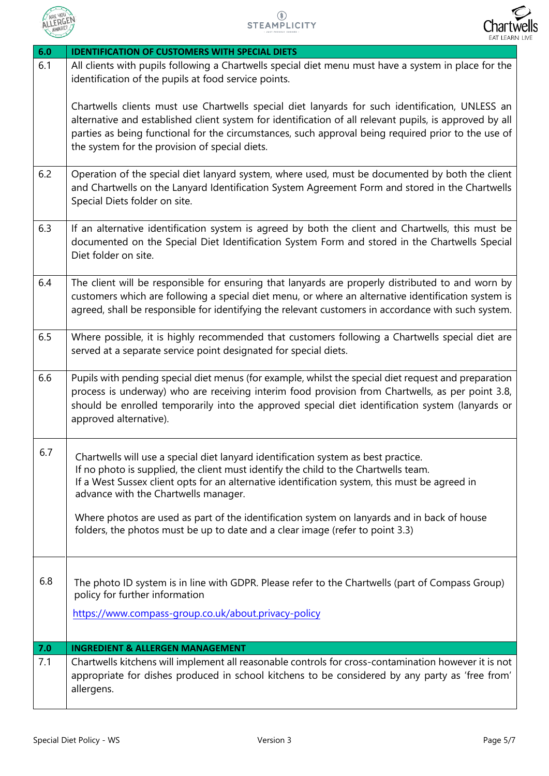



| 6.0 | <b>IDENTIFICATION OF CUSTOMERS WITH SPECIAL DIETS</b>                                                                                                                                                                                                                                                                                                                                                                                                                                              |
|-----|----------------------------------------------------------------------------------------------------------------------------------------------------------------------------------------------------------------------------------------------------------------------------------------------------------------------------------------------------------------------------------------------------------------------------------------------------------------------------------------------------|
| 6.1 | All clients with pupils following a Chartwells special diet menu must have a system in place for the<br>identification of the pupils at food service points.                                                                                                                                                                                                                                                                                                                                       |
|     | Chartwells clients must use Chartwells special diet lanyards for such identification, UNLESS an<br>alternative and established client system for identification of all relevant pupils, is approved by all<br>parties as being functional for the circumstances, such approval being required prior to the use of<br>the system for the provision of special diets.                                                                                                                                |
| 6.2 | Operation of the special diet lanyard system, where used, must be documented by both the client<br>and Chartwells on the Lanyard Identification System Agreement Form and stored in the Chartwells<br>Special Diets folder on site.                                                                                                                                                                                                                                                                |
| 6.3 | If an alternative identification system is agreed by both the client and Chartwells, this must be<br>documented on the Special Diet Identification System Form and stored in the Chartwells Special<br>Diet folder on site.                                                                                                                                                                                                                                                                        |
| 6.4 | The client will be responsible for ensuring that lanyards are properly distributed to and worn by<br>customers which are following a special diet menu, or where an alternative identification system is<br>agreed, shall be responsible for identifying the relevant customers in accordance with such system.                                                                                                                                                                                    |
| 6.5 | Where possible, it is highly recommended that customers following a Chartwells special diet are<br>served at a separate service point designated for special diets.                                                                                                                                                                                                                                                                                                                                |
| 6.6 | Pupils with pending special diet menus (for example, whilst the special diet request and preparation<br>process is underway) who are receiving interim food provision from Chartwells, as per point 3.8,<br>should be enrolled temporarily into the approved special diet identification system (lanyards or<br>approved alternative).                                                                                                                                                             |
| 6.7 | Chartwells will use a special diet lanyard identification system as best practice.<br>If no photo is supplied, the client must identify the child to the Chartwells team.<br>If a West Sussex client opts for an alternative identification system, this must be agreed in<br>advance with the Chartwells manager.<br>Where photos are used as part of the identification system on lanyards and in back of house<br>folders, the photos must be up to date and a clear image (refer to point 3.3) |
| 6.8 | The photo ID system is in line with GDPR. Please refer to the Chartwells (part of Compass Group)<br>policy for further information<br>https://www.compass-group.co.uk/about.privacy-policy                                                                                                                                                                                                                                                                                                         |
|     |                                                                                                                                                                                                                                                                                                                                                                                                                                                                                                    |
| 7.0 | <b>INGREDIENT &amp; ALLERGEN MANAGEMENT</b>                                                                                                                                                                                                                                                                                                                                                                                                                                                        |
| 7.1 | Chartwells kitchens will implement all reasonable controls for cross-contamination however it is not<br>appropriate for dishes produced in school kitchens to be considered by any party as 'free from'<br>allergens.                                                                                                                                                                                                                                                                              |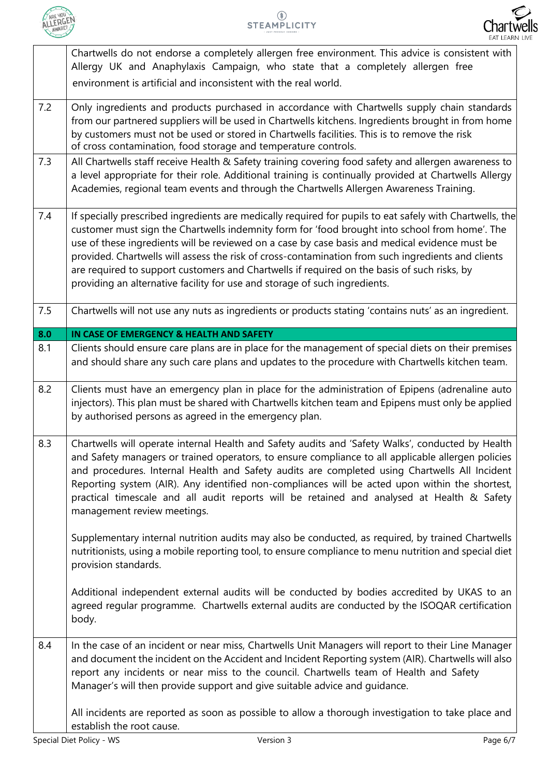



|     | Chartwells do not endorse a completely allergen free environment. This advice is consistent with<br>Allergy UK and Anaphylaxis Campaign, who state that a completely allergen free<br>environment is artificial and inconsistent with the real world.                                                                                                                                                                                                                                                                                                                                           |
|-----|-------------------------------------------------------------------------------------------------------------------------------------------------------------------------------------------------------------------------------------------------------------------------------------------------------------------------------------------------------------------------------------------------------------------------------------------------------------------------------------------------------------------------------------------------------------------------------------------------|
| 7.2 | Only ingredients and products purchased in accordance with Chartwells supply chain standards<br>from our partnered suppliers will be used in Chartwells kitchens. Ingredients brought in from home<br>by customers must not be used or stored in Chartwells facilities. This is to remove the risk<br>of cross contamination, food storage and temperature controls.                                                                                                                                                                                                                            |
| 7.3 | All Chartwells staff receive Health & Safety training covering food safety and allergen awareness to<br>a level appropriate for their role. Additional training is continually provided at Chartwells Allergy<br>Academies, regional team events and through the Chartwells Allergen Awareness Training.                                                                                                                                                                                                                                                                                        |
| 7.4 | If specially prescribed ingredients are medically required for pupils to eat safely with Chartwells, the<br>customer must sign the Chartwells indemnity form for 'food brought into school from home'. The<br>use of these ingredients will be reviewed on a case by case basis and medical evidence must be<br>provided. Chartwells will assess the risk of cross-contamination from such ingredients and clients<br>are required to support customers and Chartwells if required on the basis of such risks, by<br>providing an alternative facility for use and storage of such ingredients. |
| 7.5 | Chartwells will not use any nuts as ingredients or products stating 'contains nuts' as an ingredient.                                                                                                                                                                                                                                                                                                                                                                                                                                                                                           |
| 8.0 | IN CASE OF EMERGENCY & HEALTH AND SAFETY                                                                                                                                                                                                                                                                                                                                                                                                                                                                                                                                                        |
| 8.1 | Clients should ensure care plans are in place for the management of special diets on their premises<br>and should share any such care plans and updates to the procedure with Chartwells kitchen team.                                                                                                                                                                                                                                                                                                                                                                                          |
| 8.2 | Clients must have an emergency plan in place for the administration of Epipens (adrenaline auto<br>injectors). This plan must be shared with Chartwells kitchen team and Epipens must only be applied<br>by authorised persons as agreed in the emergency plan.                                                                                                                                                                                                                                                                                                                                 |
| 8.3 | Chartwells will operate internal Health and Safety audits and 'Safety Walks', conducted by Health<br>and Safety managers or trained operators, to ensure compliance to all applicable allergen policies<br>and procedures. Internal Health and Safety audits are completed using Chartwells All Incident<br>Reporting system (AIR). Any identified non-compliances will be acted upon within the shortest,<br>practical timescale and all audit reports will be retained and analysed at Health & Safety<br>management review meetings.                                                         |
|     | Supplementary internal nutrition audits may also be conducted, as required, by trained Chartwells<br>nutritionists, using a mobile reporting tool, to ensure compliance to menu nutrition and special diet<br>provision standards.                                                                                                                                                                                                                                                                                                                                                              |
|     | Additional independent external audits will be conducted by bodies accredited by UKAS to an<br>agreed regular programme. Chartwells external audits are conducted by the ISOQAR certification<br>body.                                                                                                                                                                                                                                                                                                                                                                                          |
| 8.4 | In the case of an incident or near miss, Chartwells Unit Managers will report to their Line Manager<br>and document the incident on the Accident and Incident Reporting system (AIR). Chartwells will also<br>report any incidents or near miss to the council. Chartwells team of Health and Safety<br>Manager's will then provide support and give suitable advice and guidance.                                                                                                                                                                                                              |
|     | All incidents are reported as soon as possible to allow a thorough investigation to take place and<br>establish the root cause.                                                                                                                                                                                                                                                                                                                                                                                                                                                                 |